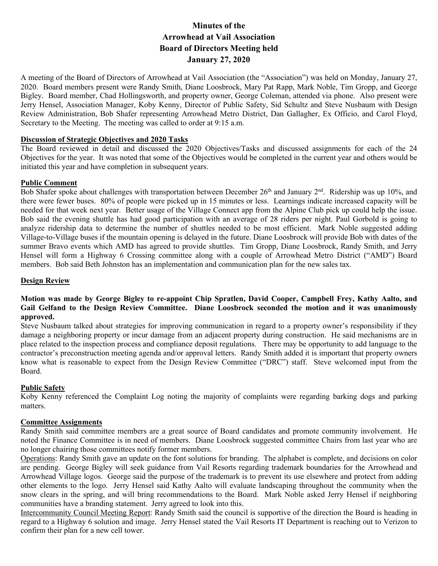# **Minutes of the Arrowhead at Vail Association Board of Directors Meeting held January 27, 2020**

A meeting of the Board of Directors of Arrowhead at Vail Association (the "Association") was held on Monday, January 27, 2020. Board members present were Randy Smith, Diane Loosbrock, Mary Pat Rapp, Mark Noble, Tim Gropp, and George Bigley. Board member, Chad Hollingsworth, and property owner, George Coleman, attended via phone. Also present were Jerry Hensel, Association Manager, Koby Kenny, Director of Public Safety, Sid Schultz and Steve Nusbaum with Design Review Administration, Bob Shafer representing Arrowhead Metro District, Dan Gallagher, Ex Officio, and Carol Floyd, Secretary to the Meeting. The meeting was called to order at 9:15 a.m.

### **Discussion of Strategic Objectives and 2020 Tasks**

The Board reviewed in detail and discussed the 2020 Objectives/Tasks and discussed assignments for each of the 24 Objectives for the year. It was noted that some of the Objectives would be completed in the current year and others would be initiated this year and have completion in subsequent years.

#### **Public Comment**

Bob Shafer spoke about challenges with transportation between December  $26<sup>th</sup>$  and January  $2<sup>nd</sup>$ . Ridership was up 10%, and there were fewer buses. 80% of people were picked up in 15 minutes or less. Learnings indicate increased capacity will be needed for that week next year. Better usage of the Village Connect app from the Alpine Club pick up could help the issue. Bob said the evening shuttle has had good participation with an average of 28 riders per night. Paul Gorbold is going to analyze ridership data to determine the number of shuttles needed to be most efficient. Mark Noble suggested adding Village-to-Village buses if the mountain opening is delayed in the future. Diane Loosbrock will provide Bob with dates of the summer Bravo events which AMD has agreed to provide shuttles. Tim Gropp, Diane Loosbrock, Randy Smith, and Jerry Hensel will form a Highway 6 Crossing committee along with a couple of Arrowhead Metro District ("AMD") Board members. Bob said Beth Johnston has an implementation and communication plan for the new sales tax.

#### **Design Review**

## **Motion was made by George Bigley to re-appoint Chip Spratlen, David Cooper, Campbell Frey, Kathy Aalto, and Gail Gelfand to the Design Review Committee. Diane Loosbrock seconded the motion and it was unanimously approved.**

Steve Nusbaum talked about strategies for improving communication in regard to a property owner's responsibility if they damage a neighboring property or incur damage from an adjacent property during construction. He said mechanisms are in place related to the inspection process and compliance deposit regulations. There may be opportunity to add language to the contractor's preconstruction meeting agenda and/or approval letters. Randy Smith added it is important that property owners know what is reasonable to expect from the Design Review Committee ("DRC") staff. Steve welcomed input from the Board.

### **Public Safety**

Koby Kenny referenced the Complaint Log noting the majority of complaints were regarding barking dogs and parking matters.

#### **Committee Assignments**

Randy Smith said committee members are a great source of Board candidates and promote community involvement. He noted the Finance Committee is in need of members. Diane Loosbrock suggested committee Chairs from last year who are no longer chairing those committees notify former members.

Operations: Randy Smith gave an update on the font solutions for branding. The alphabet is complete, and decisions on color are pending. George Bigley will seek guidance from Vail Resorts regarding trademark boundaries for the Arrowhead and Arrowhead Village logos. George said the purpose of the trademark is to prevent its use elsewhere and protect from adding other elements to the logo. Jerry Hensel said Kathy Aalto will evaluate landscaping throughout the community when the snow clears in the spring, and will bring recommendations to the Board. Mark Noble asked Jerry Hensel if neighboring communities have a branding statement. Jerry agreed to look into this.

Intercommunity Council Meeting Report: Randy Smith said the council is supportive of the direction the Board is heading in regard to a Highway 6 solution and image. Jerry Hensel stated the Vail Resorts IT Department is reaching out to Verizon to confirm their plan for a new cell tower.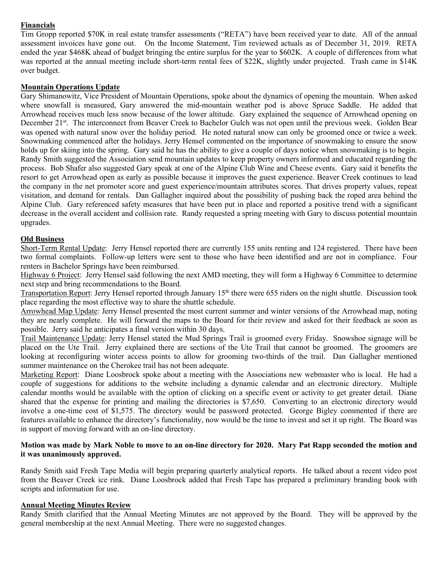## **Financials**

Tim Gropp reported \$70K in real estate transfer assessments ("RETA") have been received year to date. All of the annual assessment invoices have gone out. On the Income Statement, Tim reviewed actuals as of December 31, 2019. RETA ended the year \$468K ahead of budget bringing the entire surplus for the year to \$602K. A couple of differences from what was reported at the annual meeting include short-term rental fees of \$22K, slightly under projected. Trash came in \$14K over budget.

### **Mountain Operations Update**

Gary Shimanowitz, Vice President of Mountain Operations, spoke about the dynamics of opening the mountain. When asked where snowfall is measured, Gary answered the mid-mountain weather pod is above Spruce Saddle. He added that Arrowhead receives much less snow because of the lower altitude. Gary explained the sequence of Arrowhead opening on December 21<sup>st</sup>. The interconnect from Beaver Creek to Bachelor Gulch was not open until the previous week. Golden Bear was opened with natural snow over the holiday period. He noted natural snow can only be groomed once or twice a week. Snowmaking commenced after the holidays. Jerry Hensel commented on the importance of snowmaking to ensure the snow holds up for skiing into the spring. Gary said he has the ability to give a couple of days notice when snowmaking is to begin. Randy Smith suggested the Association send mountain updates to keep property owners informed and educated regarding the process. Bob Shafer also suggested Gary speak at one of the Alpine Club Wine and Cheese events. Gary said it benefits the resort to get Arrowhead open as early as possible because it improves the guest experience. Beaver Creek continues to lead the company in the net promoter score and guest experience/mountain attributes scores. That drives property values, repeat visitation, and demand for rentals. Dan Gallagher inquired about the possibility of pushing back the roped area behind the Alpine Club. Gary referenced safety measures that have been put in place and reported a positive trend with a significant decrease in the overall accident and collision rate. Randy requested a spring meeting with Gary to discuss potential mountain upgrades.

### **Old Business**

Short-Term Rental Update: Jerry Hensel reported there are currently 155 units renting and 124 registered. There have been two formal complaints. Follow-up letters were sent to those who have been identified and are not in compliance. Four renters in Bachelor Springs have been reimbursed.

Highway 6 Project: Jerry Hensel said following the next AMD meeting, they will form a Highway 6 Committee to determine next step and bring recommendations to the Board.

Transportation Report: Jerry Hensel reported through January 15<sup>th</sup> there were 655 riders on the night shuttle. Discussion took place regarding the most effective way to share the shuttle schedule.

Arrowhead Map Update: Jerry Hensel presented the most current summer and winter versions of the Arrowhead map, noting they are nearly complete. He will forward the maps to the Board for their review and asked for their feedback as soon as possible. Jerry said he anticipates a final version within 30 days.

Trail Maintenance Update: Jerry Hensel stated the Mud Springs Trail is groomed every Friday. Snowshoe signage will be placed on the Ute Trail. Jerry explained there are sections of the Ute Trail that cannot be groomed. The groomers are looking at reconfiguring winter access points to allow for grooming two-thirds of the trail. Dan Gallagher mentioned summer maintenance on the Cherokee trail has not been adequate.

Marketing Report: Diane Loosbrock spoke about a meeting with the Associations new webmaster who is local. He had a couple of suggestions for additions to the website including a dynamic calendar and an electronic directory. Multiple calendar months would be available with the option of clicking on a specific event or activity to get greater detail. Diane shared that the expense for printing and mailing the directories is \$7,650. Converting to an electronic directory would involve a one-time cost of \$1,575. The directory would be password protected. George Bigley commented if there are features available to enhance the directory's functionality, now would be the time to invest and set it up right. The Board was in support of moving forward with an on-line directory.

#### **Motion was made by Mark Noble to move to an on-line directory for 2020. Mary Pat Rapp seconded the motion and it was unanimously approved.**

Randy Smith said Fresh Tape Media will begin preparing quarterly analytical reports. He talked about a recent video post from the Beaver Creek ice rink. Diane Loosbrock added that Fresh Tape has prepared a preliminary branding book with scripts and information for use.

### **Annual Meeting Minutes Review**

Randy Smith clarified that the Annual Meeting Minutes are not approved by the Board. They will be approved by the general membership at the next Annual Meeting. There were no suggested changes.